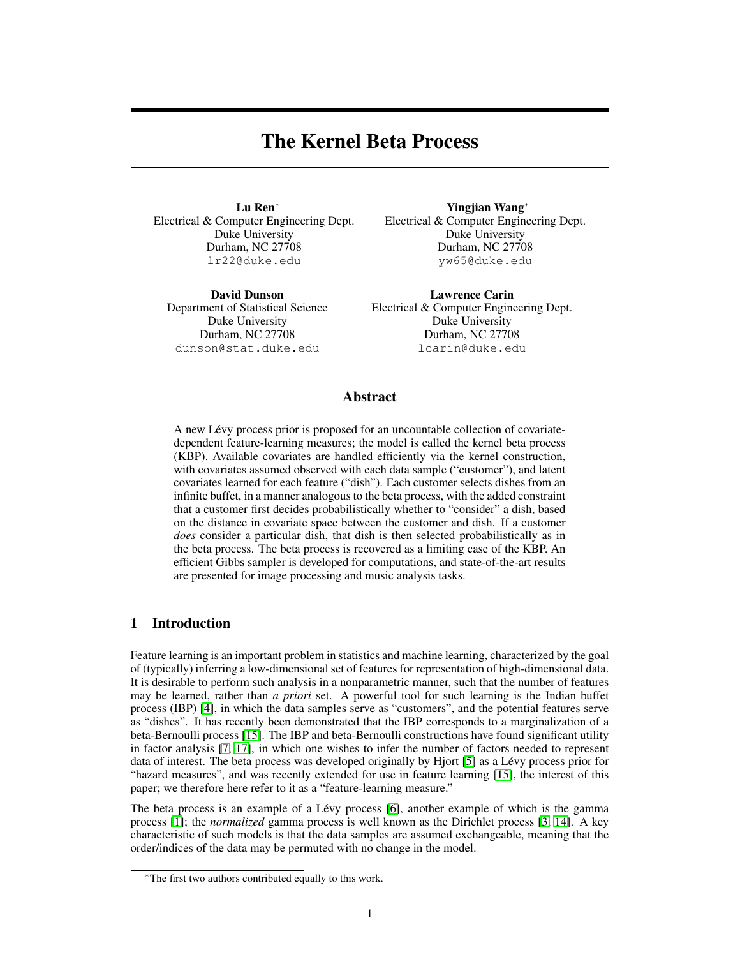# The Kernel Beta Process

<span id="page-0-0"></span>Lu Ren<sup>∗</sup> Electrical & Computer Engineering Dept. Duke University Durham, NC 27708 lr22@duke.edu

David Dunson Department of Statistical Science Duke University Durham, NC 27708 dunson@stat.duke.edu

Yingjian Wang<sup>∗</sup> Electrical & Computer Engineering Dept. Duke University Durham, NC 27708 yw65@duke.edu

Lawrence Carin Electrical & Computer Engineering Dept. Duke University Durham, NC 27708 lcarin@duke.edu

# Abstract

A new Lévy process prior is proposed for an uncountable collection of covariatedependent feature-learning measures; the model is called the kernel beta process (KBP). Available covariates are handled efficiently via the kernel construction, with covariates assumed observed with each data sample ("customer"), and latent covariates learned for each feature ("dish"). Each customer selects dishes from an infinite buffet, in a manner analogous to the beta process, with the added constraint that a customer first decides probabilistically whether to "consider" a dish, based on the distance in covariate space between the customer and dish. If a customer *does* consider a particular dish, that dish is then selected probabilistically as in the beta process. The beta process is recovered as a limiting case of the KBP. An efficient Gibbs sampler is developed for computations, and state-of-the-art results are presented for image processing and music analysis tasks.

# 1 Introduction

Feature learning is an important problem in statistics and machine learning, characterized by the goal of (typically) inferring a low-dimensional set of features for representation of high-dimensional data. It is desirable to perform such analysis in a nonparametric manner, such that the number of features may be learned, rather than *a priori* set. A powerful tool for such learning is the Indian buffet process (IBP) [\[4\]](#page-8-0), in which the data samples serve as "customers", and the potential features serve as "dishes". It has recently been demonstrated that the IBP corresponds to a marginalization of a beta-Bernoulli process [\[15\]](#page-8-1). The IBP and beta-Bernoulli constructions have found significant utility in factor analysis [\[7,](#page-8-2) [17\]](#page-8-3), in which one wishes to infer the number of factors needed to represent data of interest. The beta process was developed originally by Hjort [\[5\]](#page-8-4) as a Lévy process prior for "hazard measures", and was recently extended for use in feature learning [\[15\]](#page-8-1), the interest of this paper; we therefore here refer to it as a "feature-learning measure."

The beta process is an example of a Lévy process [\[6\]](#page-8-5), another example of which is the gamma process [\[1\]](#page-8-6); the *normalized* gamma process is well known as the Dirichlet process [\[3,](#page-8-7) [14\]](#page-8-8). A key characteristic of such models is that the data samples are assumed exchangeable, meaning that the order/indices of the data may be permuted with no change in the model.

<sup>∗</sup>The first two authors contributed equally to this work.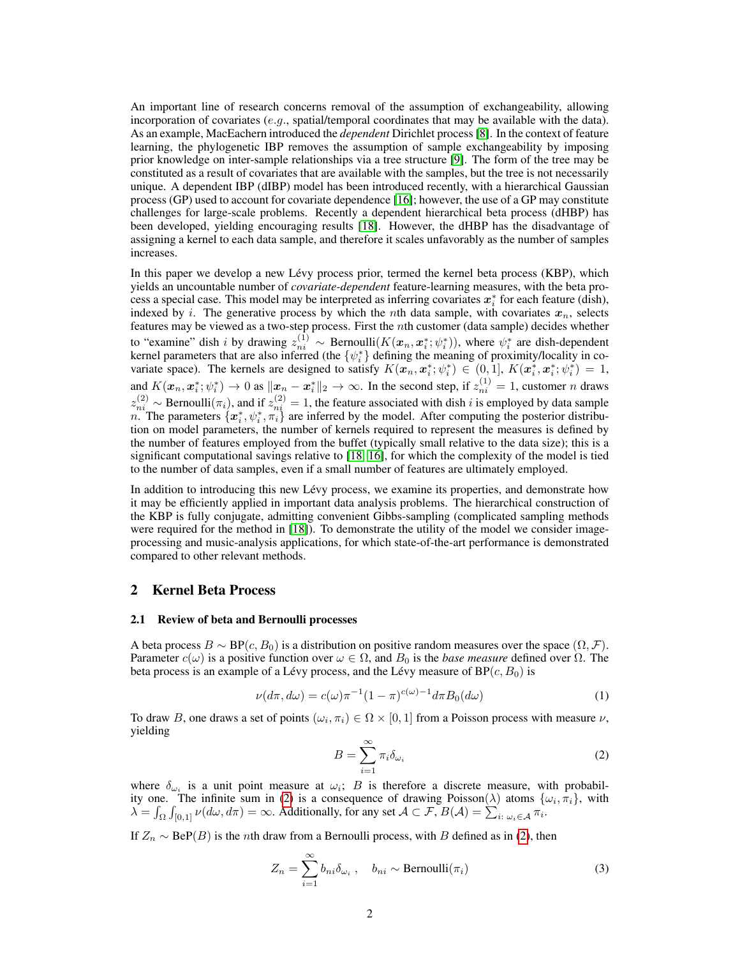An important line of research concerns removal of the assumption of exchangeability, allowing incorporation of covariates (e.g., spatial/temporal coordinates that may be available with the data). As an example, MacEachern introduced the *dependent* Dirichlet process [\[8\]](#page-8-9). In the context of feature learning, the phylogenetic IBP removes the assumption of sample exchangeability by imposing prior knowledge on inter-sample relationships via a tree structure [\[9\]](#page-8-10). The form of the tree may be constituted as a result of covariates that are available with the samples, but the tree is not necessarily unique. A dependent IBP (dIBP) model has been introduced recently, with a hierarchical Gaussian process (GP) used to account for covariate dependence [\[16\]](#page-8-11); however, the use of a GP may constitute challenges for large-scale problems. Recently a dependent hierarchical beta process (dHBP) has been developed, yielding encouraging results [\[18\]](#page-8-12). However, the dHBP has the disadvantage of assigning a kernel to each data sample, and therefore it scales unfavorably as the number of samples increases.

In this paper we develop a new Lévy process prior, termed the kernel beta process (KBP), which yields an uncountable number of *covariate-dependent* feature-learning measures, with the beta process a special case. This model may be interpreted as inferring covariates  $x_i^*$  for each feature (dish), indexed by i. The generative process by which the nth data sample, with covariates  $x_n$ , selects features may be viewed as a two-step process. First the  $n$ th customer (data sample) decides whether to "examine" dish *i* by drawing  $z_{ni}^{(1)} \sim \text{Bernoulli}(K(\mathbf{x}_n, \mathbf{x}_i^*, \psi_i^*))$ , where  $\psi_i^*$  are dish-dependent kernel parameters that are also inferred (the  $\{\psi_i^*\}$  defining the meaning of proximity/locality in covariate space). The kernels are designed to satisfy  $K(\mathbf{x}_n, \mathbf{x}_i^*; \psi_i^*) \in (0, 1], K(\mathbf{x}_i^*, \mathbf{x}_i^*; \psi_i^*) = 1$ , and  $K(\boldsymbol{x}_n, \boldsymbol{x}_i^*, \psi_i^*) \to 0$  as  $\|\boldsymbol{x}_n - \boldsymbol{x}_i^*\|_2 \to \infty$ . In the second step, if  $z_{ni}^{(1)} = 1$ , customer n draws  $z_{ni}^{(2)} \sim$  Bernoulli $(\pi_i)$ , and if  $z_{ni}^{(2)} = 1$ , the feature associated with dish i is employed by data sample n. The parameters  $\{\mathbf x_i^*, \psi_i^*, \pi_i^*\}$  are inferred by the model. After computing the posterior distribution on model parameters, the number of kernels required to represent the measures is defined by the number of features employed from the buffet (typically small relative to the data size); this is a significant computational savings relative to [\[18,](#page-8-12) [16\]](#page-8-11), for which the complexity of the model is tied to the number of data samples, even if a small number of features are ultimately employed.

In addition to introducing this new Lévy process, we examine its properties, and demonstrate how it may be efficiently applied in important data analysis problems. The hierarchical construction of the KBP is fully conjugate, admitting convenient Gibbs-sampling (complicated sampling methods were required for the method in [\[18\]](#page-8-12)). To demonstrate the utility of the model we consider imageprocessing and music-analysis applications, for which state-of-the-art performance is demonstrated compared to other relevant methods.

# 2 Kernel Beta Process

# 2.1 Review of beta and Bernoulli processes

A beta process  $B \sim BP(c, B_0)$  is a distribution on positive random measures over the space  $(\Omega, \mathcal{F})$ . Parameter  $c(\omega)$  is a positive function over  $\omega \in \Omega$ , and  $B_0$  is the *base measure* defined over  $\Omega$ . The beta process is an example of a Lévy process, and the Lévy measure of  $BP (c, B_0)$  is

$$
\nu(d\pi, d\omega) = c(\omega)\pi^{-1}(1-\pi)^{c(\omega)-1}d\pi B_0(d\omega)
$$
\n(1)

To draw B, one draws a set of points  $(\omega_i, \pi_i) \in \Omega \times [0, 1]$  from a Poisson process with measure  $\nu$ , yielding

$$
B = \sum_{i=1}^{\infty} \pi_i \delta_{\omega_i}
$$
 (2)

where  $\delta_{\omega_i}$  is a unit point measure at  $\omega_i$ ; B is therefore a discrete measure, with probabil-ity one. The infinite sum in [\(2\)](#page-0-0) is a consequence of drawing Poisson( $\lambda$ ) atoms  $\{\omega_i, \pi_i\}$ , with  $\lambda = \int_{\Omega} \int_{[0,1]} \nu(d\omega, d\pi) = \infty$ . Additionally, for any set  $\mathcal{A} \subset \mathcal{F}$ ,  $B(\mathcal{A}) = \sum_{i: \omega_i \in \mathcal{A}} \pi_i$ .

If  $Z_n \sim \text{BeP}(B)$  is the *n*th draw from a Bernoulli process, with B defined as in [\(2\)](#page-0-0), then

$$
Z_n = \sum_{i=1}^{\infty} b_{ni} \delta_{\omega_i} , \quad b_{ni} \sim \text{Bernoulli}(\pi_i)
$$
 (3)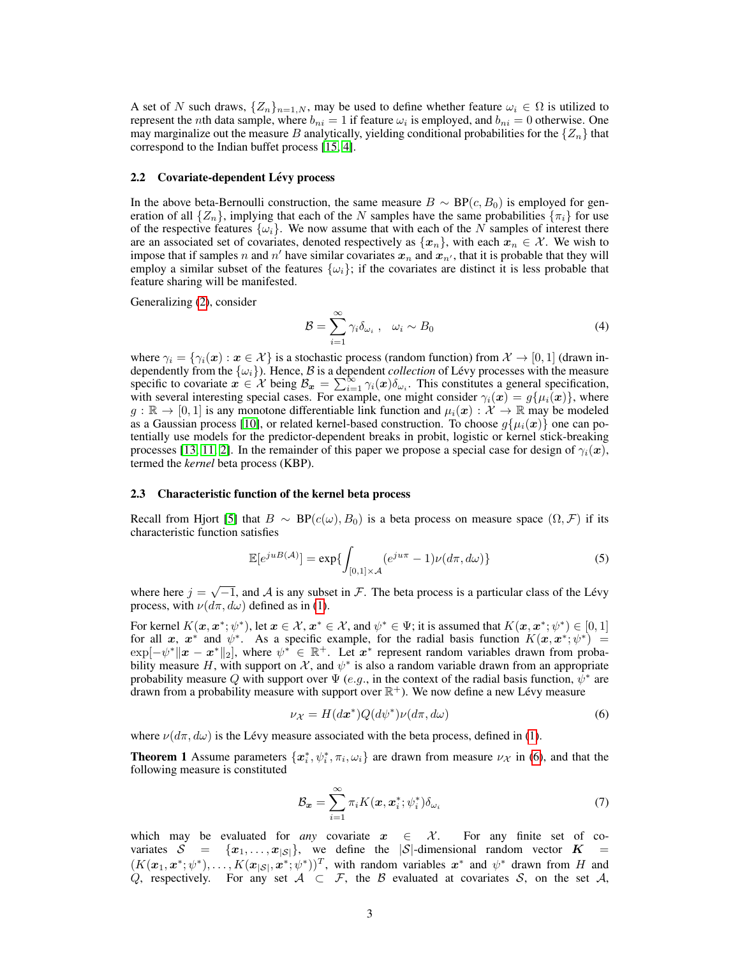A set of N such draws,  $\{Z_n\}_{n=1,N}$ , may be used to define whether feature  $\omega_i \in \Omega$  is utilized to represent the *n*th data sample, where  $b_{ni} = 1$  if feature  $\omega_i$  is employed, and  $b_{ni} = 0$  otherwise. One may marginalize out the measure B analytically, yielding conditional probabilities for the  $\{Z_n\}$  that correspond to the Indian buffet process [\[15,](#page-8-1) [4\]](#page-8-0).

## 2.2 Covariate-dependent Lévy process

In the above beta-Bernoulli construction, the same measure  $B \sim BP(c, B_0)$  is employed for generation of all  $\{Z_n\}$ , implying that each of the N samples have the same probabilities  $\{\pi_i\}$  for use of the respective features  $\{\omega_i\}$ . We now assume that with each of the N samples of interest there are an associated set of covariates, denoted respectively as  $\{x_n\}$ , with each  $x_n \in \mathcal{X}$ . We wish to impose that if samples n and n' have similar covariates  $x_n$  and  $x_{n'}$ , that it is probable that they will employ a similar subset of the features  $\{\omega_i\}$ ; if the covariates are distinct it is less probable that feature sharing will be manifested.

Generalizing [\(2\)](#page-0-0), consider

$$
\mathcal{B} = \sum_{i=1}^{\infty} \gamma_i \delta_{\omega_i} , \quad \omega_i \sim B_0 \tag{4}
$$

where  $\gamma_i = \{\gamma_i(\bm{x}) : \bm{x} \in \mathcal{X}\}\$ is a stochastic process (random function) from  $\mathcal{X} \to [0, 1]$  (drawn independently from the  $\{\omega_i\}$ ). Hence,  $\beta$  is a dependent *collection* of Lévy processes with the measure specific to covariate  $x \in \mathcal{X}$  being  $\mathcal{B}_x = \sum_{i=1}^{\infty} \gamma_i(x) \delta_{\omega_i}$ . This constitutes a general specification, with several interesting special cases. For example, one might consider  $\gamma_i(\bm{x}) = g\{\mu_i(\bm{x})\}$ , where  $g : \mathbb{R} \to [0,1]$  is any monotone differentiable link function and  $\mu_i(\bm{x}) : \mathcal{X} \to \mathbb{R}$  may be modeled as a Gaussian process [\[10\]](#page-8-13), or related kernel-based construction. To choose  $g\{\mu_i(x)\}\$  one can potentially use models for the predictor-dependent breaks in probit, logistic or kernel stick-breaking processes [\[13,](#page-8-14) [11,](#page-8-15) [2\]](#page-8-16). In the remainder of this paper we propose a special case for design of  $\gamma_i(x)$ , termed the *kernel* beta process (KBP).

#### 2.3 Characteristic function of the kernel beta process

Recall from Hjort [\[5\]](#page-8-4) that  $B \sim BP(c(\omega), B_0)$  is a beta process on measure space  $(\Omega, \mathcal{F})$  if its characteristic function satisfies

$$
\mathbb{E}[e^{juB(\mathcal{A})}] = \exp\{\int_{[0,1]\times\mathcal{A}} (e^{ju\pi} - 1)\nu(d\pi, d\omega)\}\
$$
 (5)

where here  $j = \sqrt{-1}$ , and A is any subset in F. The beta process is a particular class of the Lévy process, with  $\nu(d\pi, d\omega)$  defined as in [\(1\)](#page-0-0).

For kernel  $K(\mathbf{x}, \mathbf{x}^*; \psi^*)$ , let  $\mathbf{x} \in \mathcal{X}$ ,  $\mathbf{x}^* \in \mathcal{X}$ , and  $\psi^* \in \Psi$ ; it is assumed that  $K(\mathbf{x}, \mathbf{x}^*; \psi^*) \in [0, 1]$ for all x,  $x^*$  and  $\psi^*$ . As a specific example, for the radial basis function  $K(x, x^*; \psi^*)$  =  $\exp[-\psi^* \|x - x^*\|_2]$ , where  $\psi^* \in \mathbb{R}^+$ . Let  $x^*$  represent random variables drawn from probability measure H, with support on X, and  $\psi^*$  is also a random variable drawn from an appropriate probability measure Q with support over  $\Psi$  (e.g., in the context of the radial basis function,  $\psi^*$  are drawn from a probability measure with support over  $\mathbb{R}^+$ ). We now define a new Lévy measure

$$
\nu_{\mathcal{X}} = H(d\boldsymbol{x}^*) Q(d\psi^*) \nu(d\pi, d\omega) \tag{6}
$$

where  $\nu(d\pi, d\omega)$  is the Lévy measure associated with the beta process, defined in [\(1\)](#page-0-0).

**Theorem 1** Assume parameters  $\{x_i^*, \psi_i^*, \pi_i, \omega_i\}$  are drawn from measure  $\nu_X$  in [\(6\)](#page-0-0), and that the following measure is constituted

$$
\mathcal{B}_{\boldsymbol{x}} = \sum_{i=1}^{\infty} \pi_i K(\boldsymbol{x}, \boldsymbol{x}_i^*; \psi_i^*) \delta_{\omega_i}
$$
(7)

which may be evaluated for *any* covariate  $x \in \mathcal{X}$ . For any finite set of covariates  $S = \{x_1, \ldots, x_{|S|}\}\$ , we define the  $|S|$ -dimensional random vector  $K =$  $(K(x_1, x^*; \psi^*), \ldots, K(x_{|\mathcal{S}|}, x^*; \psi^*))^T$ , with random variables  $x^*$  and  $\psi^*$  drawn from H and Q, respectively. For any set  $A \subset F$ , the B evaluated at covariates S, on the set A,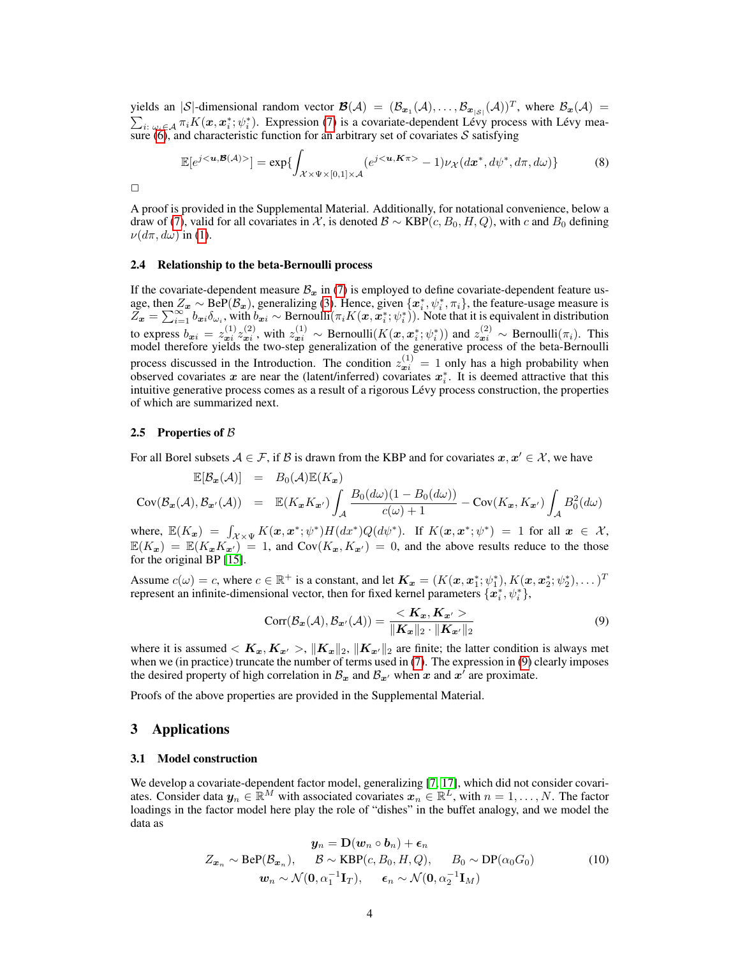yields an |S|-dimensional random vector  $\mathcal{B}(\mathcal{A}) = (\mathcal{B}_{x_1}(\mathcal{A}), \ldots, \mathcal{B}_{x_{|\mathcal{S}|}}(\mathcal{A}))^T$ , where  $\mathcal{B}_x(\mathcal{A}) =$  $\sum_{i: \omega_i \in A} \pi_i K(\mathbf{x}, \mathbf{x}_i^*; \psi_i^*)$ . Expression [\(7\)](#page-0-0) is a covariate-dependent Lévy process with Lévy mea-sure [\(6\)](#page-0-0), and characteristic function for an arbitrary set of covariates  $S$  satisfying

$$
\mathbb{E}[e^{j<\mathbf{u},\mathcal{B}(\mathcal{A})>}] = \exp\{\int_{\mathcal{X}\times\Psi\times[0,1]\times\mathcal{A}} (e^{j<\mathbf{u},\mathcal{K}\pi>}-1)\nu_{\mathcal{X}}(d\mathbf{x}^*,d\psi^*,d\pi,d\omega)\}\
$$
(8)

 $\Box$ 

A proof is provided in the Supplemental Material. Additionally, for notational convenience, below a draw of [\(7\)](#page-0-0), valid for all covariates in X, is denoted  $\mathcal{B} \sim \text{KBP}(c, B_0, H, Q)$ , with c and  $B_0$  defining  $\nu(d\pi, d\omega)$  in [\(1\)](#page-0-0).

## 2.4 Relationship to the beta-Bernoulli process

If the covariate-dependent measure  $B_x$  in [\(7\)](#page-0-0) is employed to define covariate-dependent feature usage, then  $Z_x \sim \text{BeP}(\mathcal{B}_x)$ , generalizing [\(3\)](#page-0-0). Hence, given  $\{x_i^*, \psi_i^*, \pi_i\}$ , the feature-usage measure is  $Z_{\bm{x}} = \sum_{i=1}^{\infty} b_{\bm{x}i} \delta_{\omega_i}$ , with  $b_{\bm{x}i} \sim \text{Bernoulli}(\pi_i K(\bm{x}, \bm{x}_i^*, \psi_i^*))$ . Note that it is equivalent in distribution to express  $b_{x_i} = z_{x_i}^{(1)} z_{x_i}^{(2)}$ , with  $z_{x_i}^{(1)} \sim \text{Bernoulli}(K(x, x_i^*; \psi_i^*))$  and  $z_{x_i}^{(2)} \sim \text{Bernoulli}(\pi_i)$ . This model therefore yields the two-step generalization of the generative process of the beta-Bernoulli process discussed in the Introduction. The condition  $z_{x_i}^{(1)} = 1$  only has a high probability when observed covariates x are near the (latent/inferred) covariates  $x_i^*$ . It is deemed attractive that this intuitive generative process comes as a result of a rigorous Lévy process construction, the properties of which are summarized next.

### 2.5 Properties of  $\beta$

For all Borel subsets  $A \in \mathcal{F}$ , if  $\mathcal{B}$  is drawn from the KBP and for covariates  $x, x' \in \mathcal{X}$ , we have

$$
\mathbb{E}[\mathcal{B}_{\mathbf{x}}(\mathcal{A})] = B_0(\mathcal{A})\mathbb{E}(K_{\mathbf{x}})
$$
  
\n
$$
Cov(\mathcal{B}_{\mathbf{x}}(\mathcal{A}), \mathcal{B}_{\mathbf{x}'}(\mathcal{A})) = \mathbb{E}(K_{\mathbf{x}}K_{\mathbf{x}'}) \int_{\mathcal{A}} \frac{B_0(d\omega)(1 - B_0(d\omega))}{c(\omega) + 1} - Cov(K_{\mathbf{x}}, K_{\mathbf{x}'}) \int_{\mathcal{A}} B_0^2(d\omega)
$$

where,  $\mathbb{E}(K_{\bm{x}}) = \int_{\mathcal{X}\times\Psi} K(\bm{x}, \bm{x}^*; \psi^*) H(dx^*) Q(d\psi^*)$ . If  $K(\bm{x}, \bm{x}^*; \psi^*) = 1$  for all  $\bm{x} \in \mathcal{X}$ ,  $\mathbb{E}(K_x) = \mathbb{E}(K_x K_{x\prime}) = 1$ , and  $Cov(K_x, K_{x\prime}) = 0$ , and the above results reduce to the those for the original BP [\[15\]](#page-8-1).

Assume  $c(\omega) = c$ , where  $c \in \mathbb{R}^+$  is a constant, and let  $\mathbf{K}_{\bm{x}} = (K(\bm{x}, \bm{x}_1^*, \psi_1^*), K(\bm{x}, \bm{x}_2^*, \psi_2^*), \dots)^T$ represent an infinite-dimensional vector, then for fixed kernel parameters  $\{\hat{\bm{x}_i}^*, \psi_i^*\}$ ,

$$
Corr(\mathcal{B}_{\boldsymbol{x}}(\mathcal{A}), \mathcal{B}_{\boldsymbol{x}'}(\mathcal{A})) = \frac{\langle \boldsymbol{K}_{\boldsymbol{x}}, \boldsymbol{K}_{\boldsymbol{x}'} \rangle}{\|\boldsymbol{K}_{\boldsymbol{x}}\|_2 \cdot \|\boldsymbol{K}_{\boldsymbol{x}'}\|_2}
$$
(9)

where it is assumed  $\langle K_x, K_{x'} \rangle$ ,  $\|K_x\|_2$ ,  $\|K_{x'}\|_2$  are finite; the latter condition is always met when we (in practice) truncate the number of terms used in [\(7\)](#page-0-0). The expression in [\(9\)](#page-0-0) clearly imposes the desired property of high correlation in  $\mathcal{B}_x$  and  $\mathcal{B}_{x'}$  when x and  $x'$  are proximate.

Proofs of the above properties are provided in the Supplemental Material.

# 3 Applications

#### 3.1 Model construction

We develop a covariate-dependent factor model, generalizing [\[7,](#page-8-2) [17\]](#page-8-3), which did not consider covariates. Consider data  $y_n \in \mathbb{R}^M$  with associated covariates  $x_n \in \mathbb{R}^L$ , with  $n = 1, \ldots, N$ . The factor loadings in the factor model here play the role of "dishes" in the buffet analogy, and we model the data as

$$
\mathbf{y}_n = \mathbf{D}(\mathbf{w}_n \circ \mathbf{b}_n) + \boldsymbol{\epsilon}_n
$$
  

$$
Z_{\mathbf{x}_n} \sim \text{BeP}(\mathcal{B}_{\mathbf{x}_n}), \quad \mathcal{B} \sim \text{KBP}(c, B_0, H, Q), \quad B_0 \sim \text{DP}(\alpha_0 G_0)
$$
  

$$
\mathbf{w}_n \sim \mathcal{N}(\mathbf{0}, \alpha_1^{-1} \mathbf{I}_T), \quad \boldsymbol{\epsilon}_n \sim \mathcal{N}(\mathbf{0}, \alpha_2^{-1} \mathbf{I}_M)
$$
 (10)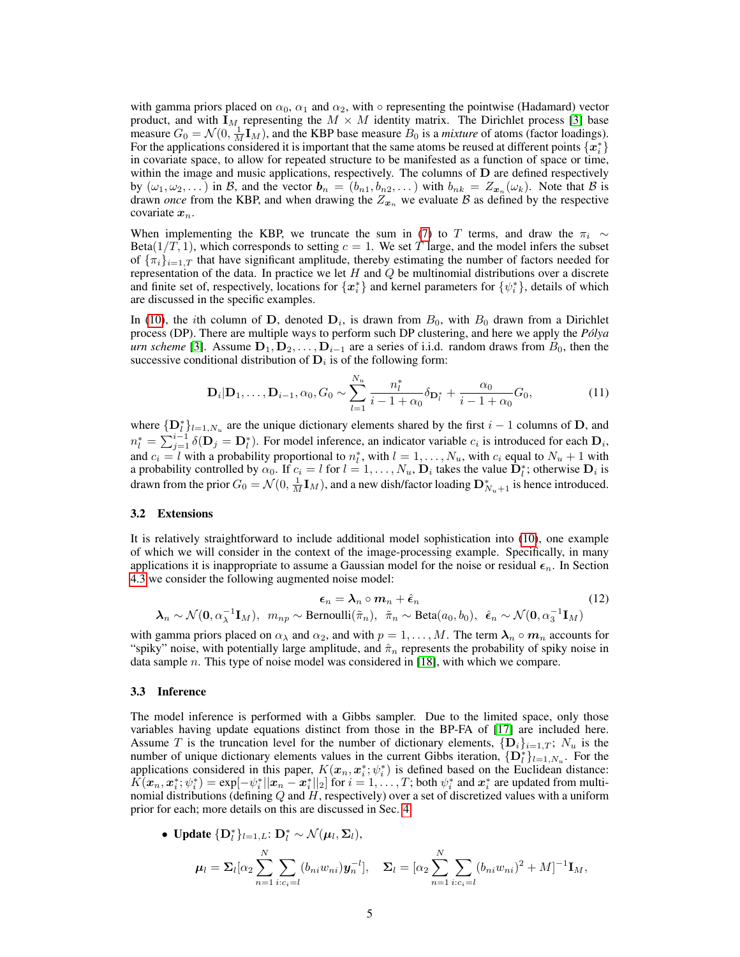with gamma priors placed on  $\alpha_0$ ,  $\alpha_1$  and  $\alpha_2$ , with  $\circ$  representing the pointwise (Hadamard) vector product, and with  $I_M$  representing the  $M \times M$  identity matrix. The Dirichlet process [\[3\]](#page-8-7) base measure  $G_0 = \mathcal{N}(0, \frac{1}{M} \mathbf{I}_M)$ , and the KBP base measure  $B_0$  is a *mixture* of atoms (factor loadings). For the applications considered it is important that the same atoms be reused at different points  $\{\boldsymbol{x}_i^*\}$ in covariate space, to allow for repeated structure to be manifested as a function of space or time, within the image and music applications, respectively. The columns of D are defined respectively by  $(\omega_1, \omega_2, ...)$  in B, and the vector  $\mathbf{b}_n = (b_{n1}, b_{n2}, ...)$  with  $b_{nk} = Z_{\mathbf{x}_n}(\omega_k)$ . Note that B is drawn *once* from the KBP, and when drawing the  $Z_{x_n}$  we evaluate B as defined by the respective covariate  $x_n$ .

When implementing the KBP, we truncate the sum in [\(7\)](#page-0-0) to T terms, and draw the  $\pi_i \sim$ Beta( $1/T$ , 1), which corresponds to setting  $c = 1$ . We set T large, and the model infers the subset of  $\{\pi_i\}_{i=1,T}$  that have significant amplitude, thereby estimating the number of factors needed for representation of the data. In practice we let  $H$  and  $Q$  be multinomial distributions over a discrete and finite set of, respectively, locations for  $\{x_i^*\}$  and kernel parameters for  $\{\psi_i^*\}$ , details of which are discussed in the specific examples.

In [\(10\)](#page-0-0), the *i*th column of D, denoted  $D_i$ , is drawn from  $B_0$ , with  $B_0$  drawn from a Dirichlet process (DP). There are multiple ways to perform such DP clustering, and here we apply the *Polya ´ urn scheme* [\[3\]](#page-8-7). Assume  $D_1, D_2, \ldots, D_{i-1}$  are a series of i.i.d. random draws from  $B_0$ , then the successive conditional distribution of  $D_i$  is of the following form:

$$
\mathbf{D}_{i}|\mathbf{D}_{1},\ldots,\mathbf{D}_{i-1},\alpha_{0},G_{0}\sim\sum_{l=1}^{N_{u}}\frac{n_{l}^{*}}{i-1+\alpha_{0}}\delta_{\mathbf{D}_{l}^{*}}+\frac{\alpha_{0}}{i-1+\alpha_{0}}G_{0},\tag{11}
$$

where  $\{D_l^*\}_{l=1,N_u}$  are the unique dictionary elements shared by the first  $i-1$  columns of D, and  $n_l^* = \sum_{j=1}^{i-1} \delta(\mathbf{D}_j = \mathbf{D}_l^*)$ . For model inference, an indicator variable  $c_i$  is introduced for each  $\mathbf{D}_i$ , and  $c_i = l$  with a probability proportional to  $n_l^*$ , with  $l = 1, ..., N_u$ , with  $c_i$  equal to  $N_u + 1$  with a probability controlled by  $\alpha_0$ . If  $c_i = l$  for  $l = 1, ..., N_u$ ,  $\mathbf{D}_i$  takes the value  $\mathbf{D}_i^*$ ; otherwise  $\mathbf{D}_i$  is drawn from the prior  $G_0 = \mathcal{N}(0, \frac{1}{M} \mathbf{I}_M)$ , and a new dish/factor loading  $\mathbf{D}_{N_u+1}^*$  is hence introduced.

## <span id="page-4-0"></span>3.2 Extensions

It is relatively straightforward to include additional model sophistication into [\(10\)](#page-0-0), one example of which we will consider in the context of the image-processing example. Specifically, in many applications it is inappropriate to assume a Gaussian model for the noise or residual  $\epsilon_n$ . In Section [4.3](#page-6-0) we consider the following augmented noise model:

$$
\epsilon_n = \lambda_n \circ m_n + \hat{\epsilon}_n
$$
  
\n
$$
\lambda_n \sim \mathcal{N}(\mathbf{0}, \alpha_{\lambda}^{-1} \mathbf{I}_M), \quad m_{np} \sim \text{Bernoulli}(\tilde{\pi}_n), \quad \tilde{\pi}_n \sim \text{Beta}(a_0, b_0), \quad \hat{\epsilon}_n \sim \mathcal{N}(\mathbf{0}, \alpha_3^{-1} \mathbf{I}_M)
$$
 (12)

with gamma priors placed on  $\alpha_{\lambda}$  and  $\alpha_{2}$ , and with  $p = 1, \ldots, M$ . The term  $\lambda_{n} \circ m_{n}$  accounts for "spiky" noise, with potentially large amplitude, and  $\hat{\pi}_n$  represents the probability of spiky noise in data sample n. This type of noise model was considered in  $[18]$ , with which we compare.

## 3.3 Inference

The model inference is performed with a Gibbs sampler. Due to the limited space, only those variables having update equations distinct from those in the BP-FA of [\[17\]](#page-8-3) are included here. Assume T is the truncation level for the number of dictionary elements,  $\{D_i\}_{i=1,T}$ ;  $N_u$  is the number of unique dictionary elements values in the current Gibbs iteration,  $\{D_l^*\}_{l=1,N_u}$ . For the applications considered in this paper,  $K(\mathbf{x}_n, \mathbf{x}_i^*, \psi_i^*)$  is defined based on the Euclidean distance:  $\hat{K}(\bm{x}_n, \bm{x}_i^*; \psi_i^*) = \exp[-\psi_i^* || \bm{x}_n - \bm{x}_i^* ||_2]$  for  $i = 1, \ldots, T$ ; both  $\psi_i^*$  and  $\bm{x}_i^*$  are updated from multinomial distributions (defining  $Q$  and  $H$ , respectively) over a set of discretized values with a uniform prior for each; more details on this are discussed in Sec. [4.](#page-5-0)

• Update 
$$
\{\mathbf{D}_l^*\}_{l=1,L}
$$
:  $\mathbf{D}_l^* \sim \mathcal{N}(\boldsymbol{\mu}_l, \boldsymbol{\Sigma}_l)$ ,  
\n
$$
\boldsymbol{\mu}_l = \boldsymbol{\Sigma}_l[\alpha_2 \sum_{n=1}^N \sum_{i:c_i=l} (b_{ni}w_{ni}) \boldsymbol{y}_n^{-l}], \quad \boldsymbol{\Sigma}_l = [\alpha_2 \sum_{n=1}^N \sum_{i:c_i=l} (b_{ni}w_{ni})^2 + M]^{-1} \mathbf{I}_M,
$$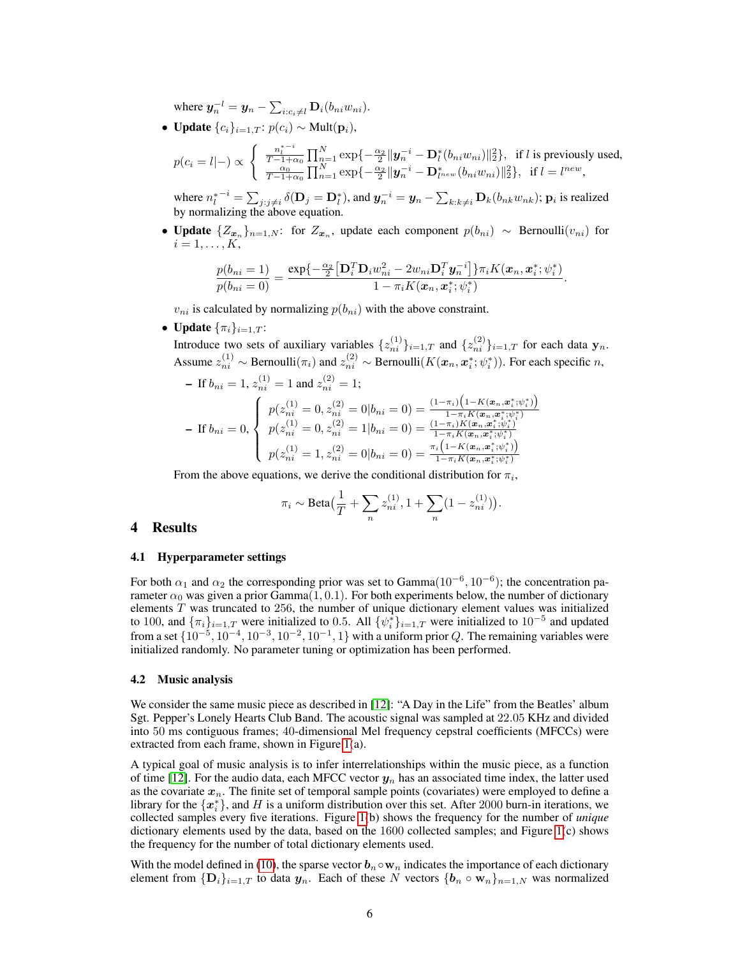where  $\boldsymbol{y}_n^{-l} = \boldsymbol{y}_n - \sum_{i:c_i\neq l} \mathbf{D}_i(b_{ni}w_{ni}).$ 

• Update  ${c_i}_{i=1,T}$ :  $p(c_i) \sim \text{Mult}(\mathbf{p}_i)$ ,

$$
p(c_i = l| -) \propto \begin{cases} \frac{n_i^{* - i}}{T - 1 + \alpha_0} \prod_{n = 1}^{N} \exp\{-\frac{\alpha_2}{2} ||\mathbf{y}_n^{-i} - \mathbf{D}_l^*(b_{ni} w_{ni})||_2^2\}, & \text{if } l \text{ is previously used,} \\ \frac{\alpha_0}{T - 1 + \alpha_0} \prod_{n = 1}^{N} \exp\{-\frac{\alpha_2}{2} ||\mathbf{y}_n^{-i} - \mathbf{D}_{l^{new}}^*(b_{ni} w_{ni})||_2^2\}, & \text{if } l = l^{new}, \end{cases}
$$

where  $n_l^{*-i} = \sum_{j:j\neq i} \delta(\mathbf{D}_j = \mathbf{D}_l^*)$ , and  $\mathbf{y}_n^{-i} = \mathbf{y}_n - \sum_{k:k\neq i} \mathbf{D}_k(b_{nk}w_{nk}); \mathbf{p}_i$  is realized by normalizing the above equation.

• Update  $\{Z_{x_n}\}_{n=1,N}$ : for  $Z_{x_n}$ , update each component  $p(b_{ni}) \sim \text{Bernoulli}(v_{ni})$  for  $i=1,\ldots,K,$ 

$$
\frac{p(b_{ni}=1)}{p(b_{ni}=0)}=\frac{\exp\{-\frac{\alpha_2}{2}\left[\mathbf{D}_i^T\mathbf{D}_iw_{ni}^2-2w_{ni}\mathbf{D}_i^T\mathbf{y}_n^{-i}\right]\}\pi_iK(\mathbf{x}_n,\mathbf{x}_i^*;\psi_i^*)}{1-\pi_iK(\mathbf{x}_n,\mathbf{x}_i^*;\psi_i^*)}
$$

.

 $v_{ni}$  is calculated by normalizing  $p(b_{ni})$  with the above constraint.

• Update  $\{\pi_i\}_{i=1}$ . T:

Introduce two sets of auxiliary variables  $\{z_{ni}^{(1)}\}_{i=1,T}$  and  $\{z_{ni}^{(2)}\}_{i=1,T}$  for each data  $\mathbf{y}_n$ . Assume  $z_{ni}^{(1)} \sim \text{Bernoulli}(\pi_i)$  and  $z_{ni}^{(2)} \sim \text{Bernoulli}(K(\mathbf{x}_n, \mathbf{x}_i^*, \psi_i^*))$ . For each specific n,

- If 
$$
b_{ni} = 1
$$
,  $z_{ni}^{(1)} = 1$  and  $z_{ni}^{(2)} = 1$ ;  
\n- If  $b_{ni} = 0$ , 
$$
\begin{cases}\np(z_{ni}^{(1)} = 0, z_{ni}^{(2)} = 0 | b_{ni} = 0) = \frac{(1 - \pi_i) \left(1 - K(\mathbf{x}_n, \mathbf{x}_i^*, \psi_i^*)\right)}{1 - \pi_i K(\mathbf{x}_n, \mathbf{x}_i^*, \psi_i^*)}\n\end{cases}
$$
\n- If  $b_{ni} = 0$ , 
$$
\begin{cases}\np(z_{ni}^{(1)} = 0, z_{ni}^{(2)} = 1 | b_{ni} = 0) = \frac{(1 - \pi_i) K(\mathbf{x}_n, \mathbf{x}_i^*, \psi_i^*)}{1 - \pi_i K(\mathbf{x}_n, \mathbf{x}_i^*, \psi_i^*)}\n\end{cases}
$$
\n
$$
p(z_{ni}^{(1)} = 1, z_{ni}^{(2)} = 0 | b_{ni} = 0) = \frac{\pi_i \left(1 - K(\mathbf{x}_n, \mathbf{x}_i^*, \psi_i^*)\right)}{1 - \pi_i K(\mathbf{x}_n, \mathbf{x}_i^*, \psi_i^*)}\n\end{cases}
$$

From the above equations, we derive the conditional distribution for  $\pi_i$ ,

$$
\pi_i \sim \text{Beta}\left(\frac{1}{T} + \sum_n z_{ni}^{(1)}, 1 + \sum_n (1 - z_{ni}^{(1)})\right).
$$

# <span id="page-5-0"></span>4 Results

## 4.1 Hyperparameter settings

For both  $\alpha_1$  and  $\alpha_2$  the corresponding prior was set to Gamma $(10^{-6}, 10^{-6})$ ; the concentration parameter  $\alpha_0$  was given a prior Gamma $(1, 0.1)$ . For both experiments below, the number of dictionary elements  $T$  was truncated to 256, the number of unique dictionary element values was initialized to 100, and  $\{\pi_i\}_{i=1,T}$  were initialized to 0.5. All  $\{\psi_i^*\}_{i=1,T}$  were initialized to  $10^{-5}$  and updated from a set  $\{10^{-5}, 10^{-4}, 10^{-3}, 10^{-2}, 10^{-1}, 1\}$  with a uniform prior Q. The remaining variables were initialized randomly. No parameter tuning or optimization has been performed.

## 4.2 Music analysis

We consider the same music piece as described in [\[12\]](#page-8-17): "A Day in the Life" from the Beatles' album Sgt. Pepper's Lonely Hearts Club Band. The acoustic signal was sampled at 22.05 KHz and divided into 50 ms contiguous frames; 40-dimensional Mel frequency cepstral coefficients (MFCCs) were extracted from each frame, shown in Figure [1\(](#page-6-1)a).

A typical goal of music analysis is to infer interrelationships within the music piece, as a function of time [\[12\]](#page-8-17). For the audio data, each MFCC vector  $y_n$  has an associated time index, the latter used as the covariate  $x_n$ . The finite set of temporal sample points (covariates) were employed to define a library for the  $\{x_i^*\}$ , and H is a uniform distribution over this set. After 2000 burn-in iterations, we collected samples every five iterations. Figure [1\(](#page-6-1)b) shows the frequency for the number of *unique* dictionary elements used by the data, based on the 1600 collected samples; and Figure [1\(](#page-6-1)c) shows the frequency for the number of total dictionary elements used.

With the model defined in [\(10\)](#page-0-0), the sparse vector  $b_n \circ w_n$  indicates the importance of each dictionary element from  ${\{\mathbf D_i\}}_{i=1,T}$  to data  $y_n$ . Each of these N vectors  ${\{\boldsymbol{b}_n \circ \mathbf{w}_n\}}_{n=1,N}$  was normalized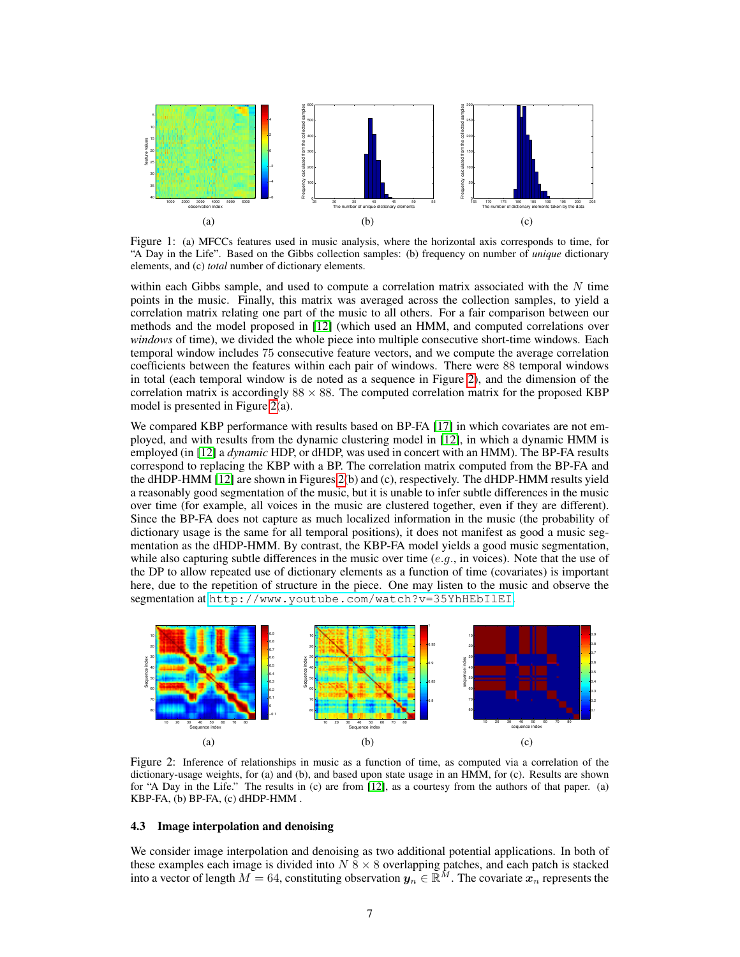

<span id="page-6-1"></span>Figure 1: (a) MFCCs features used in music analysis, where the horizontal axis corresponds to time, for "A Day in the Life". Based on the Gibbs collection samples: (b) frequency on number of *unique* dictionary elements, and (c) *total* number of dictionary elements.

within each Gibbs sample, and used to compute a correlation matrix associated with the  $N$  time points in the music. Finally, this matrix was averaged across the collection samples, to yield a correlation matrix relating one part of the music to all others. For a fair comparison between our methods and the model proposed in [\[12\]](#page-8-17) (which used an HMM, and computed correlations over *windows* of time), we divided the whole piece into multiple consecutive short-time windows. Each temporal window includes 75 consecutive feature vectors, and we compute the average correlation coefficients between the features within each pair of windows. There were 88 temporal windows in total (each temporal window is de noted as a sequence in Figure [2\)](#page-6-2), and the dimension of the correlation matrix is accordingly  $88 \times 88$ . The computed correlation matrix for the proposed KBP model is presented in Figure [2\(](#page-6-2)a).

We compared KBP performance with results based on BP-FA [\[17\]](#page-8-3) in which covariates are not employed, and with results from the dynamic clustering model in [\[12\]](#page-8-17), in which a dynamic HMM is employed (in [\[12\]](#page-8-17) a *dynamic* HDP, or dHDP, was used in concert with an HMM). The BP-FA results correspond to replacing the KBP with a BP. The correlation matrix computed from the BP-FA and the dHDP-HMM [\[12\]](#page-8-17) are shown in Figures [2\(](#page-6-2)b) and (c), respectively. The dHDP-HMM results yield a reasonably good segmentation of the music, but it is unable to infer subtle differences in the music over time (for example, all voices in the music are clustered together, even if they are different). Since the BP-FA does not capture as much localized information in the music (the probability of dictionary usage is the same for all temporal positions), it does not manifest as good a music segmentation as the dHDP-HMM. By contrast, the KBP-FA model yields a good music segmentation, while also capturing subtle differences in the music over time  $(e.g.,)$  in voices). Note that the use of the DP to allow repeated use of dictionary elements as a function of time (covariates) is important here, due to the repetition of structure in the piece. One may listen to the music and observe the segmentation at <http://www.youtube.com/watch?v=35YhHEbIlEI>.



<span id="page-6-2"></span>Figure 2: Inference of relationships in music as a function of time, as computed via a correlation of the dictionary-usage weights, for (a) and (b), and based upon state usage in an HMM, for (c). Results are shown for "A Day in the Life." The results in (c) are from [\[12\]](#page-8-17), as a courtesy from the authors of that paper. (a) KBP-FA, (b) BP-FA, (c) dHDP-HMM .

# <span id="page-6-0"></span>4.3 Image interpolation and denoising

We consider image interpolation and denoising as two additional potential applications. In both of these examples each image is divided into  $N \times 8 \times 8$  overlapping patches, and each patch is stacked into a vector of length  $M = 64$ , constituting observation  $y_n \in \mathbb{R}^M$ . The covariate  $x_n$  represents the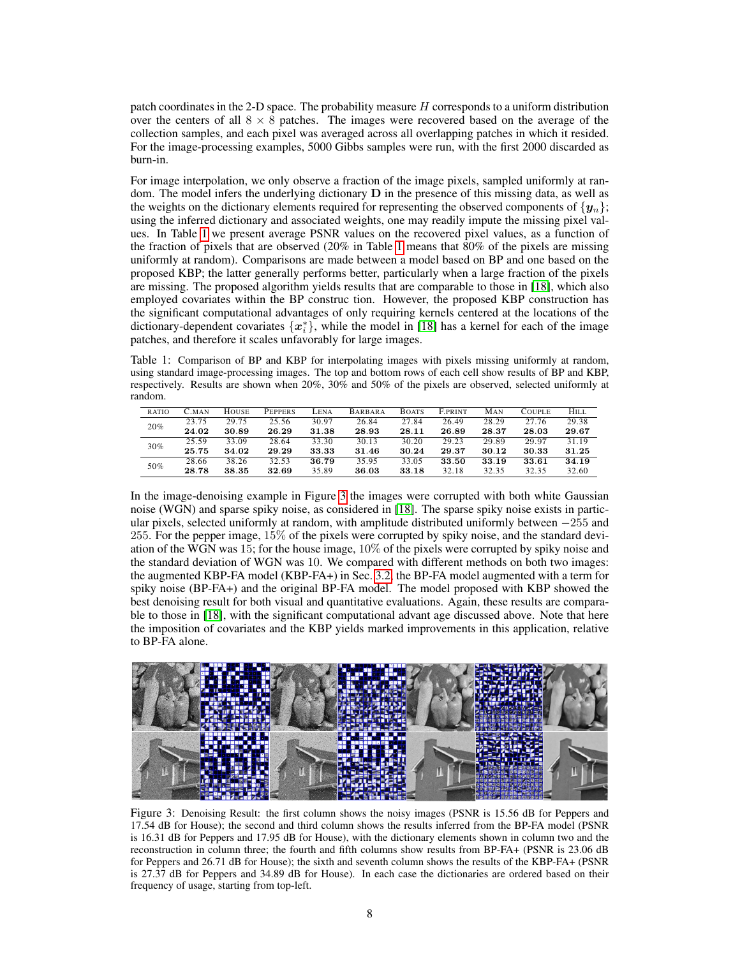patch coordinates in the 2-D space. The probability measure H corresponds to a uniform distribution over the centers of all  $8 \times 8$  patches. The images were recovered based on the average of the collection samples, and each pixel was averaged across all overlapping patches in which it resided. For the image-processing examples, 5000 Gibbs samples were run, with the first 2000 discarded as burn-in.

For image interpolation, we only observe a fraction of the image pixels, sampled uniformly at random. The model infers the underlying dictionary  **in the presence of this missing data, as well as** the weights on the dictionary elements required for representing the observed components of  $\{y_n\}$ ; using the inferred dictionary and associated weights, one may readily impute the missing pixel values. In Table [1](#page-7-0) we present average PSNR values on the recovered pixel values, as a function of the fraction of pixels that are observed (20% in Table [1](#page-7-0) means that 80% of the pixels are missing uniformly at random). Comparisons are made between a model based on BP and one based on the proposed KBP; the latter generally performs better, particularly when a large fraction of the pixels are missing. The proposed algorithm yields results that are comparable to those in [\[18\]](#page-8-12), which also employed covariates within the BP construc tion. However, the proposed KBP construction has the significant computational advantages of only requiring kernels centered at the locations of the dictionary-dependent covariates  $\{x_i^*\}$ , while the model in [\[18\]](#page-8-12) has a kernel for each of the image patches, and therefore it scales unfavorably for large images.

<span id="page-7-0"></span>Table 1: Comparison of BP and KBP for interpolating images with pixels missing uniformly at random, using standard image-processing images. The top and bottom rows of each cell show results of BP and KBP, respectively. Results are shown when 20%, 30% and 50% of the pixels are observed, selected uniformly at random.

| RATIO | C.MAN | HOUSE | <b>PEPPERS</b> | -ENA  | <b>BARBARA</b> | <b>BOATS</b> | <b>F.PRINT</b> | MAN   | COUPLE | <b>HILL</b> |
|-------|-------|-------|----------------|-------|----------------|--------------|----------------|-------|--------|-------------|
| 20%   | 23.75 | 29.75 | 25.56          | 30.97 | 26.84          | 27.84        | 26.49          | 28.29 | 27.76  | 29.38       |
|       | 24.02 | 30.89 | 26.29          | 31.38 | 28.93          | 28.11        | 26.89          | 28.37 | 28.03  | 29.67       |
| 30%   | 25.59 | 33.09 | 28.64          | 33.30 | 30.13          | 30.20        | 29.23          | 29.89 | 29.97  | 31.19       |
|       | 25.75 | 34.02 | 29.29          | 33.33 | 31.46          | 30.24        | 29.37          | 30.12 | 30.33  | 31.25       |
| 50%   | 28.66 | 38.26 | 32.53          | 36.79 | 35.95          | 33.05        | 33.50          | 33.19 | 33.61  | 34.19       |
|       | 28.78 | 38.35 | 32.69          | 35.89 | 36.03          | 33.18        | 32.18          | 32.35 | 32.35  | 32.60       |

In the image-denoising example in Figure [3](#page-7-1) the images were corrupted with both white Gaussian noise (WGN) and sparse spiky noise, as considered in [\[18\]](#page-8-12). The sparse spiky noise exists in particular pixels, selected uniformly at random, with amplitude distributed uniformly between −255 and 255. For the pepper image, 15% of the pixels were corrupted by spiky noise, and the standard deviation of the WGN was 15; for the house image, 10% of the pixels were corrupted by spiky noise and the standard deviation of WGN was 10. We compared with different methods on both two images: the augmented KBP-FA model (KBP-FA+) in Sec. [3.2,](#page-4-0) the BP-FA model augmented with a term for spiky noise (BP-FA+) and the original BP-FA model. The model proposed with KBP showed the best denoising result for both visual and quantitative evaluations. Again, these results are comparable to those in [\[18\]](#page-8-12), with the significant computational advant age discussed above. Note that here the imposition of covariates and the KBP yields marked improvements in this application, relative to BP-FA alone.



<span id="page-7-1"></span>Figure 3: Denoising Result: the first column shows the noisy images (PSNR is 15.56 dB for Peppers and 17.54 dB for House); the second and third column shows the results inferred from the BP-FA model (PSNR is 16.31 dB for Peppers and 17.95 dB for House), with the dictionary elements shown in column two and the reconstruction in column three; the fourth and fifth columns show results from BP-FA+ (PSNR is 23.06 dB for Peppers and 26.71 dB for House); the sixth and seventh column shows the results of the KBP-FA+ (PSNR is 27.37 dB for Peppers and 34.89 dB for House). In each case the dictionaries are ordered based on their frequency of usage, starting from top-left.